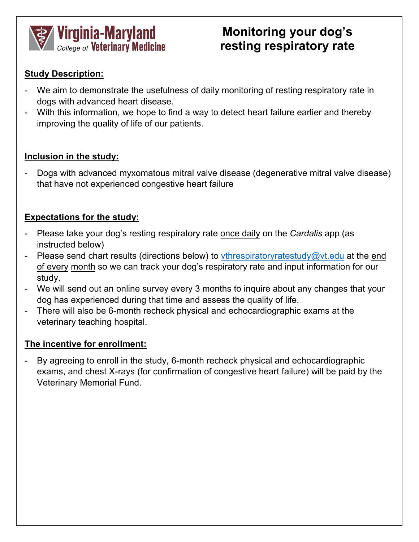

# **Monitoring your dog's resting respiratory rate**

#### **Study Description:**

- We aim to demonstrate the usefulness of daily monitoring of resting respiratory rate in dogs with advanced heart disease.
- With this information, we hope to find a way to detect heart failure earlier and thereby improving the quality of life of our patients.

#### **Inclusion in the study:**

- Dogs with advanced myxomatous mitral valve disease (degenerative mitral valve disease) that have not experienced congestive heart failure

#### **Expectations for the study:**

- Please take your dog's resting respiratory rate once daily on the *Cardalis* app (as instructed below)
- Please send chart results (directions below) to <vthrespiratoryratestudy@vt.edu> at the end of every month so we can track your dog's respiratory rate and input information for our study.
- We will send out an online survey every 3 months to inquire about any changes that your dog has experienced during that time and assess the quality of life.
- There will also be 6-month recheck physical and echocardiographic exams at the veterinary teaching hospital.

#### **The incentive for enrollment:**

By agreeing to enroll in the study, 6-month recheck physical and echocardiographic exams, and chest X-rays (for confirmation of congestive heart failure) will be paid by the Veterinary Memorial Fund.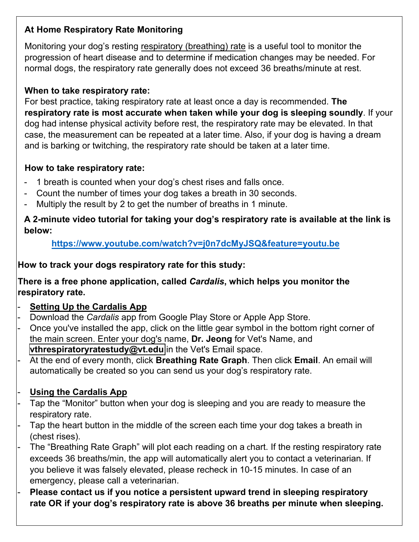## **At Home Respiratory Rate Monitoring**

Monitoring your dog's resting respiratory (breathing) rate is a useful tool to monitor the progression of heart disease and to determine if medication changes may be needed. For normal dogs, the respiratory rate generally does not exceed 36 breaths/minute at rest.

### **When to take respiratory rate:**

For best practice, taking respiratory rate at least once a day is recommended. **The respiratory rate is most accurate when taken while your dog is sleeping soundly**. If your dog had intense physical activity before rest, the respiratory rate may be elevated. In that case, the measurement can be repeated at a later time. Also, if your dog is having a dream and is barking or twitching, the respiratory rate should be taken at a later time.

#### **How to take respiratory rate:**

- 1 breath is counted when your dog's chest rises and falls once.
- Count the number of times your dog takes a breath in 30 seconds.
- Multiply the result by 2 to get the number of breaths in 1 minute.

#### **A 2-minute video tutorial for taking your dog's respiratory rate is available at the link is below:**

**https://www.youtube.com/watch?v=j0n7dcMyJSQ&feature=youtu.be**

#### **How to track your dogs respiratory rate for this study:**

#### **There i[s a free phone application, called](https://www.youtube.com/watch?v=j0n7dcMyJSQ&feature=youtu.be)** *Cardalis***, which helps you monitor the respiratory rate.**

- **Setting Up the Cardalis App**
- Download the *Cardalis* app from Google Play Store or Apple App Store.
- Once you've installed the app, click on the little gear symbol in the bottom right corner of the main screen. Enter your dog's name, **Dr. Jeong** for Vet's Name, and **[vthrespiratoryratestudy@vt.edu](mailto:vthrespiratoryratestudy@vt.edu)** in the Vet's Email space.
- At the end of every month, click **Breathing Rate Graph**. Then click **Email**. An email will automatically be created so you can send us your dog's respiratory rate.

## - **Using the Cardalis App**

- Tap the "Monitor" button when your dog is sleeping and you are ready to measure the respiratory rate.
- Tap the heart button in the middle of the screen each time your dog takes a breath in (chest rises).
- The "Breathing Rate Graph" will plot each reading on a chart. If the resting respiratory rate exceeds 36 breaths/min, the app will automatically alert you to contact a veterinarian. If you believe it was falsely elevated, please recheck in 10-15 minutes. In case of an emergency, please call a veterinarian.
- **Please contact us if you notice a persistent upward trend in sleeping respiratory rate OR if your dog's respiratory rate is above 36 breaths per minute when sleeping.**